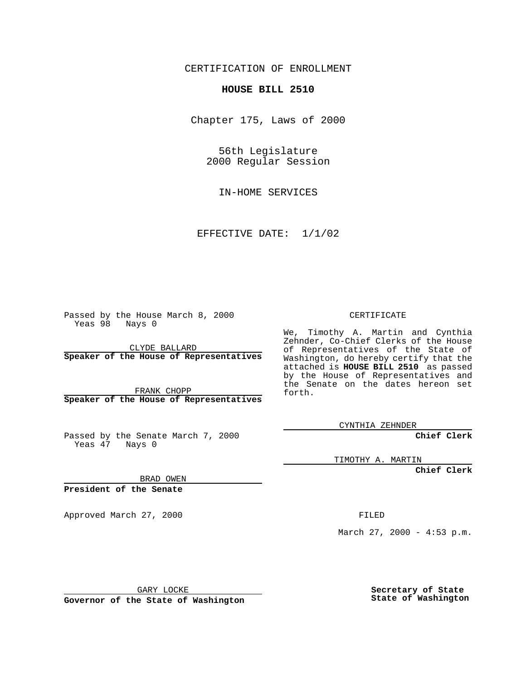CERTIFICATION OF ENROLLMENT

## **HOUSE BILL 2510**

Chapter 175, Laws of 2000

56th Legislature 2000 Regular Session

IN-HOME SERVICES

EFFECTIVE DATE: 1/1/02

Passed by the House March 8, 2000 Yeas 98 Nays 0

CLYDE BALLARD **Speaker of the House of Representatives**

FRANK CHOPP **Speaker of the House of Representatives**

Passed by the Senate March 7, 2000 Yeas 47 Nays 0

CERTIFICATE

We, Timothy A. Martin and Cynthia Zehnder, Co-Chief Clerks of the House of Representatives of the State of Washington, do hereby certify that the attached is **HOUSE BILL 2510** as passed by the House of Representatives and the Senate on the dates hereon set forth.

CYNTHIA ZEHNDER

**Chief Clerk**

TIMOTHY A. MARTIN

**Chief Clerk**

BRAD OWEN

**President of the Senate**

Approved March 27, 2000 FILED

March 27, 2000 - 4:53 p.m.

GARY LOCKE

**Governor of the State of Washington**

**Secretary of State State of Washington**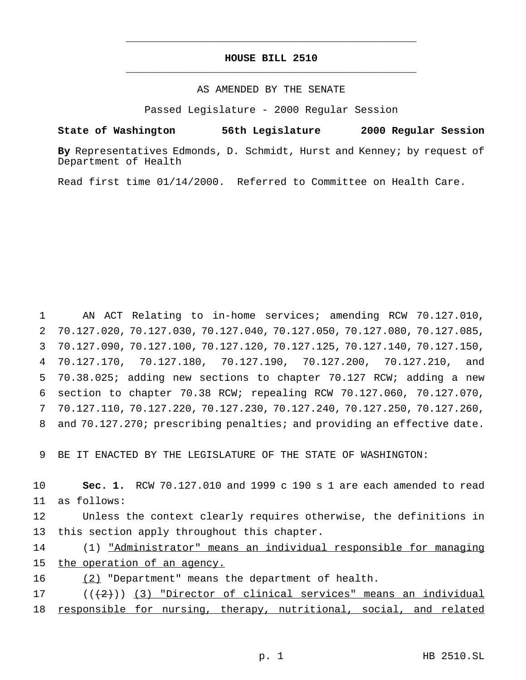## **HOUSE BILL 2510** \_\_\_\_\_\_\_\_\_\_\_\_\_\_\_\_\_\_\_\_\_\_\_\_\_\_\_\_\_\_\_\_\_\_\_\_\_\_\_\_\_\_\_\_\_\_\_

\_\_\_\_\_\_\_\_\_\_\_\_\_\_\_\_\_\_\_\_\_\_\_\_\_\_\_\_\_\_\_\_\_\_\_\_\_\_\_\_\_\_\_\_\_\_\_

## AS AMENDED BY THE SENATE

Passed Legislature - 2000 Regular Session

**State of Washington 56th Legislature 2000 Regular Session**

**By** Representatives Edmonds, D. Schmidt, Hurst and Kenney; by request of Department of Health

Read first time 01/14/2000. Referred to Committee on Health Care.

 AN ACT Relating to in-home services; amending RCW 70.127.010, 70.127.020, 70.127.030, 70.127.040, 70.127.050, 70.127.080, 70.127.085, 70.127.090, 70.127.100, 70.127.120, 70.127.125, 70.127.140, 70.127.150, 70.127.170, 70.127.180, 70.127.190, 70.127.200, 70.127.210, and 70.38.025; adding new sections to chapter 70.127 RCW; adding a new section to chapter 70.38 RCW; repealing RCW 70.127.060, 70.127.070, 70.127.110, 70.127.220, 70.127.230, 70.127.240, 70.127.250, 70.127.260, 8 and 70.127.270; prescribing penalties; and providing an effective date.

9 BE IT ENACTED BY THE LEGISLATURE OF THE STATE OF WASHINGTON:

10 **Sec. 1.** RCW 70.127.010 and 1999 c 190 s 1 are each amended to read 11 as follows:

12 Unless the context clearly requires otherwise, the definitions in 13 this section apply throughout this chapter.

14 (1) "Administrator" means an individual responsible for managing 15 the operation of an agency.

16 (2) "Department" means the department of health.

17 (((2))) (3) "Director of clinical services" means an individual 18 responsible for nursing, therapy, nutritional, social, and related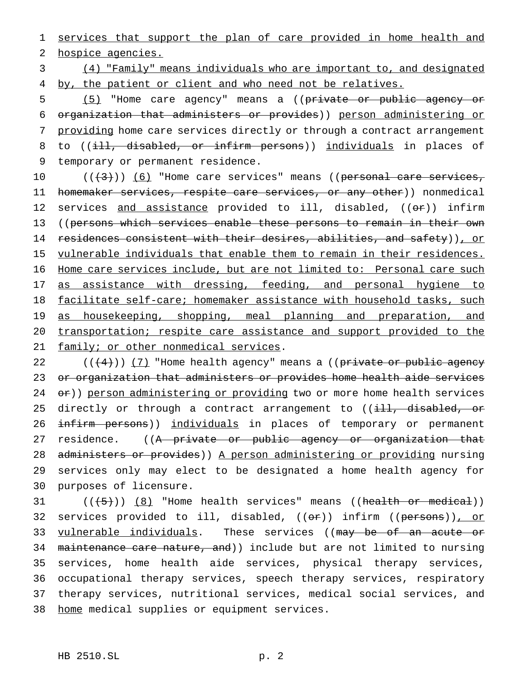1 services that support the plan of care provided in home health and 2 hospice agencies.

3 (4) "Family" means individuals who are important to, and designated 4 by, the patient or client and who need not be relatives.

5 (5) "Home care agency" means a ((private or public agency or 6 organization that administers or provides)) person administering or 7 providing home care services directly or through a contract arrangement 8 to ((ill, disabled, or infirm persons)) individuals in places of 9 temporary or permanent residence.

10  $((+3))$   $(6)$  "Home care services" means ((personal care services, 11 homemaker services, respite care services, or any other)) nonmedical 12 services and assistance provided to ill, disabled, ((or)) infirm 13 ((persons which services enable these persons to remain in their own 14 residences consistent with their desires, abilities, and safety)), or 15 vulnerable individuals that enable them to remain in their residences. 16 Home care services include, but are not limited to: Personal care such 17 as assistance with dressing, feeding, and personal hygiene to 18 facilitate self-care; homemaker assistance with household tasks, such 19 as housekeeping, shopping, meal planning and preparation, and 20 transportation; respite care assistance and support provided to the 21 family; or other nonmedical services.

22  $((+4))$  ( $7$ ) "Home health agency" means a ((private or public agency 23 or organization that administers or provides home health aide services 24 or)) person administering or providing two or more home health services 25 directly or through a contract arrangement to ((i<del>ll, disabled, or</del> 26 infirm persons)) individuals in places of temporary or permanent 27 residence. ((A private or public agency or organization that 28 administers or provides)) A person administering or providing nursing 29 services only may elect to be designated a home health agency for 30 purposes of licensure.

 $31$   $((+5))$   $(8)$  "Home health services" means ((health or medical)) 32 services provided to ill, disabled, ((or)) infirm ((persons)), or 33 vulnerable individuals. These services ((may be of an acute or 34 maintenance care nature, and)) include but are not limited to nursing 35 services, home health aide services, physical therapy services, 36 occupational therapy services, speech therapy services, respiratory 37 therapy services, nutritional services, medical social services, and 38 home medical supplies or equipment services.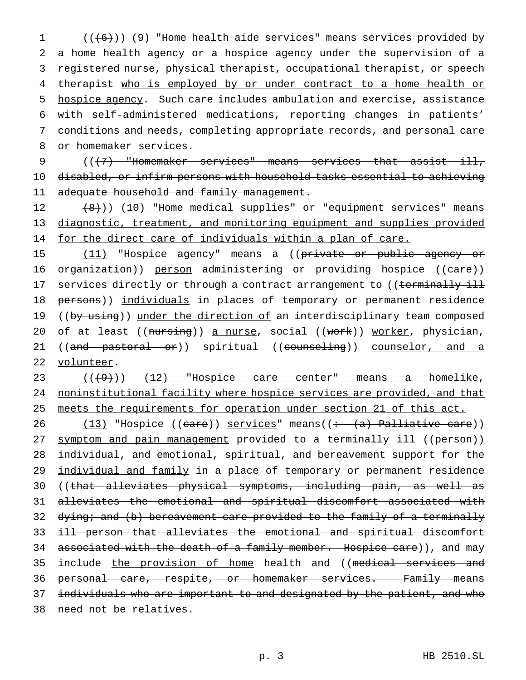$((+6))$  (9) "Home health aide services" means services provided by a home health agency or a hospice agency under the supervision of a registered nurse, physical therapist, occupational therapist, or speech 4 therapist who is employed by or under contract to a home health or hospice agency. Such care includes ambulation and exercise, assistance with self-administered medications, reporting changes in patients' conditions and needs, completing appropriate records, and personal care or homemaker services.

9  $((+7)$  "Homemaker services" means services that assist ill, 10 disabled, or infirm persons with household tasks essential to achieving 11 adequate household and family management.

12 (8))) (10) "Home medical supplies" or "equipment services" means 13 diagnostic, treatment, and monitoring equipment and supplies provided 14 for the direct care of individuals within a plan of care.

15 (11) "Hospice agency" means a ((private or public agency or 16 organization)) person administering or providing hospice ((care)) 17 services directly or through a contract arrangement to ((terminally ill 18 persons)) individuals in places of temporary or permanent residence 19 ((by using)) under the direction of an interdisciplinary team composed 20 of at least ((nursing)) a nurse, social ((work)) worker, physician, 21 ((and pastoral or)) spiritual ((counseling)) counselor, and a 22 volunteer.

23 (( $(9)$ )) (12) "Hospice care center" means a homelike, 24 noninstitutional facility where hospice services are provided, and that 25 meets the requirements for operation under section 21 of this act.

26 (13) "Hospice ((care)) services" means((: (a) Palliative care)) 27 symptom and pain management provided to a terminally ill ((person)) 28 individual, and emotional, spiritual, and bereavement support for the 29 individual and family in a place of temporary or permanent residence 30 ((that alleviates physical symptoms, including pain, as well as 31 alleviates the emotional and spiritual discomfort associated with 32 dying; and (b) bereavement care provided to the family of a terminally 33 ill person that alleviates the emotional and spiritual discomfort 34 associated with the death of a family member. Hospice care)), and may 35 include the provision of home health and ((medical services and 36 personal care, respite, or homemaker services. Family means 37 individuals who are important to and designated by the patient, and who 38 need not be relatives.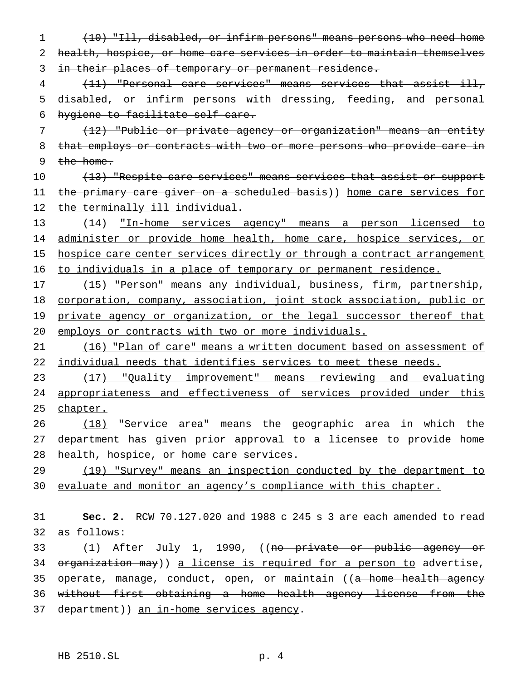1 (10) "Ill, disabled, or infirm persons" means persons who need home 2 health, hospice, or home care services in order to maintain themselves 3 in their places of temporary or permanent residence.

4 (11) "Personal care services" means services that assist ill, 5 disabled, or infirm persons with dressing, feeding, and personal 6 hygiene to facilitate self-care.

7 (12) "Public or private agency or organization" means an entity 8 that employs or contracts with two or more persons who provide care in 9 the home.

10 (13) "Respite care services" means services that assist or support 11 the primary care giver on a scheduled basis)) home care services for 12 the terminally ill individual.

13 (14) "In-home services agency" means a person licensed to 14 administer or provide home health, home care, hospice services, or 15 hospice care center services directly or through a contract arrangement 16 to individuals in a place of temporary or permanent residence.

 (15) "Person" means any individual, business, firm, partnership, corporation, company, association, joint stock association, public or 19 private agency or organization, or the legal successor thereof that employs or contracts with two or more individuals.

21 (16) "Plan of care" means a written document based on assessment of 22 individual needs that identifies services to meet these needs.

23 (17) "Quality improvement" means reviewing and evaluating 24 appropriateness and effectiveness of services provided under this 25 chapter.

26 (18) "Service area" means the geographic area in which the 27 department has given prior approval to a licensee to provide home 28 health, hospice, or home care services.

29 (19) "Survey" means an inspection conducted by the department to 30 evaluate and monitor an agency's compliance with this chapter.

31 **Sec. 2.** RCW 70.127.020 and 1988 c 245 s 3 are each amended to read 32 as follows:

33 (1) After July 1, 1990, ((no private or public agency or 34 organization may)) a license is required for a person to advertise, 35 operate, manage, conduct, open, or maintain ((a home health agency 36 without first obtaining a home health agency license from the 37 department)) an in-home services agency.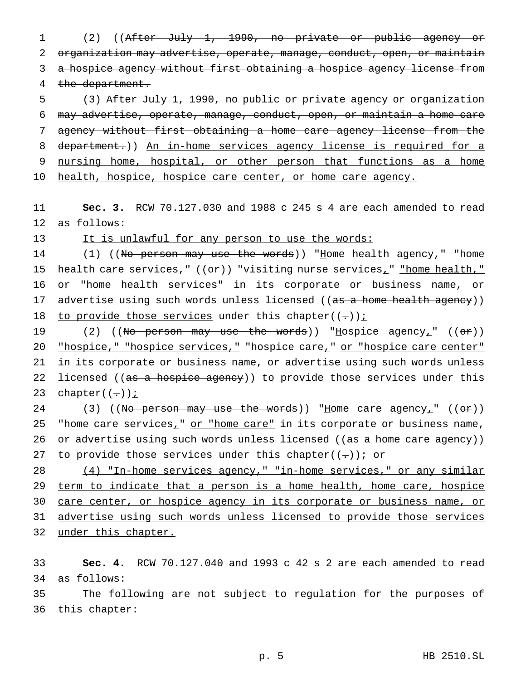1 (2) ((After July 1, 1990, no private or public agency or 2 organization may advertise, operate, manage, conduct, open, or maintain 3 a hospice agency without first obtaining a hospice agency license from 4 the department.

5 (3) After July 1, 1990, no public or private agency or organization 6 may advertise, operate, manage, conduct, open, or maintain a home care 7 agency without first obtaining a home care agency license from the 8 department.)) An in-home services agency license is required for a 9 nursing home, hospital, or other person that functions as a home 10 health, hospice, hospice care center, or home care agency.

11 **Sec. 3.** RCW 70.127.030 and 1988 c 245 s 4 are each amended to read 12 as follows:

13 It is unlawful for any person to use the words:

14 (1) ((No person may use the words)) "Home health agency," "home 15 health care services,"  $((e\texttt{f}))$  "visiting nurse services<sub>1</sub>" "home health," 16 or "home health services" in its corporate or business name, or 17 advertise using such words unless licensed ((as a home health agency)) 18 to provide those services under this chapter( $(-)$ );

19 (2) ((No person may use the words)) "Hospice agency<sub>1</sub>" ((or)) 20 "hospice," "hospice services," "hospice care," or "hospice care center" 21 in its corporate or business name, or advertise using such words unless 22 licensed ((as a hospice agency)) to provide those services under this 23 chapter( $(-)$ );

24 (3) ((No person may use the words)) "Home care agency<sub>1</sub>" (( $\sigma$ r)) 25 "home care services<sub>1</sub>" or "home care" in its corporate or business name, 26 or advertise using such words unless licensed ((as a home care agency)) 27 to provide those services under this chapter( $(-)$ ); or

28 (4) "In-home services agency," "in-home services," or any similar 29 term to indicate that a person is a home health, home care, hospice 30 care center, or hospice agency in its corporate or business name, or 31 advertise using such words unless licensed to provide those services 32 under this chapter.

33 **Sec. 4.** RCW 70.127.040 and 1993 c 42 s 2 are each amended to read 34 as follows:

35 The following are not subject to regulation for the purposes of 36 this chapter: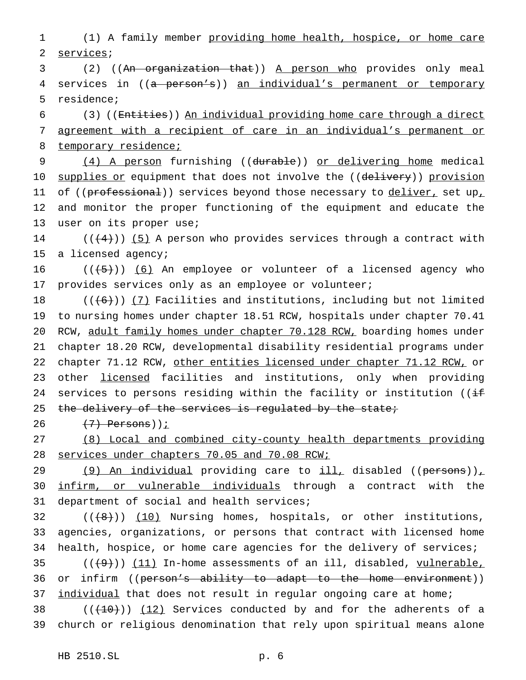1 (1) A family member providing home health, hospice, or home care 2 services;

3 (2) ((An organization that)) A person who provides only meal 4 services in ((a person's)) an individual's permanent or temporary 5 residence;

6 (3) ((Entities)) An individual providing home care through a direct 7 agreement with a recipient of care in an individual's permanent or 8 temporary residence;

9 (4) A person furnishing ((durable)) or delivering home medical 10 supplies or equipment that does not involve the ((delivery)) provision 11 of ((professional)) services beyond those necessary to deliver, set up, 12 and monitor the proper functioning of the equipment and educate the 13 user on its proper use;

14 ( $((+4))$  (5) A person who provides services through a contract with 15 a licensed agency;

16  $((\{5\})$  (6) An employee or volunteer of a licensed agency who 17 provides services only as an employee or volunteer;

18  $((+6))$   $(7)$  Facilities and institutions, including but not limited 19 to nursing homes under chapter 18.51 RCW, hospitals under chapter 70.41 20 RCW, adult family homes under chapter 70.128 RCW, boarding homes under 21 chapter 18.20 RCW, developmental disability residential programs under 22 chapter 71.12 RCW, other entities licensed under chapter 71.12 RCW, or 23 other licensed facilities and institutions, only when providing 24 services to persons residing within the facility or institution (( $\pm$ 25 the delivery of the services is regulated by the state;

26  $(7)$  Persons))<u>;</u>

27 (8) Local and combined city-county health departments providing 28 services under chapters 70.05 and 70.08 RCW;

29 (9) An individual providing care to ill, disabled ((persons)), 30 infirm, or vulnerable individuals through a contract with the 31 department of social and health services;

 $32$  (( $(8+)$ ))  $(10)$  Nursing homes, hospitals, or other institutions, 33 agencies, organizations, or persons that contract with licensed home 34 health, hospice, or home care agencies for the delivery of services;  $(1, 9)$  ( $(1, 1)$  In-home assessments of an ill, disabled, vulnerable, 36 or infirm ((person's ability to adapt to the home environment)) 37 individual that does not result in regular ongoing care at home; 38  $((+10))$   $(12)$  Services conducted by and for the adherents of a

39 church or religious denomination that rely upon spiritual means alone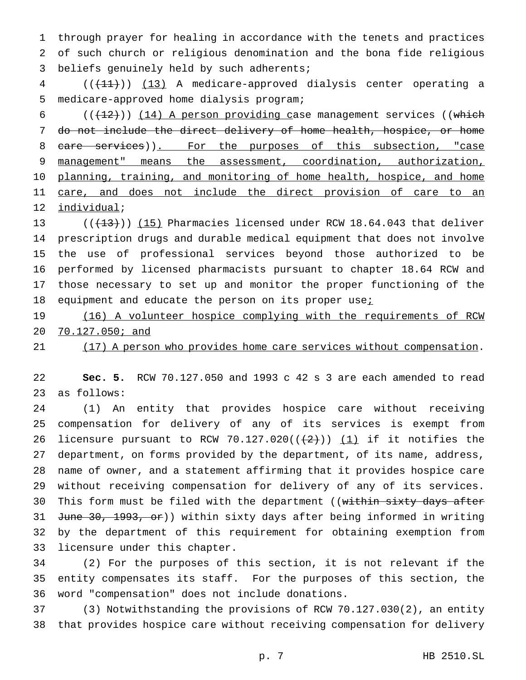through prayer for healing in accordance with the tenets and practices of such church or religious denomination and the bona fide religious beliefs genuinely held by such adherents;

4 (( $(11)$ )) (13) A medicare-approved dialysis center operating a medicare-approved home dialysis program;

6 ( $(\frac{12}{12})$ ) (14) A person providing case management services ((which do not include the direct delivery of home health, hospice, or home 8 care services)). For the purposes of this subsection, "case 9 management" means the assessment, coordination, authorization, 10 planning, training, and monitoring of home health, hospice, and home 11 care, and does not include the direct provision of care to an individual;

 $((+13))$  (15) Pharmacies licensed under RCW 18.64.043 that deliver prescription drugs and durable medical equipment that does not involve the use of professional services beyond those authorized to be performed by licensed pharmacists pursuant to chapter 18.64 RCW and those necessary to set up and monitor the proper functioning of the 18 equipment and educate the person on its proper use<sub>i</sub>

 (16) A volunteer hospice complying with the requirements of RCW 70.127.050; and

21 (17) A person who provides home care services without compensation.

 **Sec. 5.** RCW 70.127.050 and 1993 c 42 s 3 are each amended to read as follows:

 (1) An entity that provides hospice care without receiving compensation for delivery of any of its services is exempt from 26 licensure pursuant to RCW 70.127.020( $(\frac{2}{2})$ ) (1) if it notifies the department, on forms provided by the department, of its name, address, name of owner, and a statement affirming that it provides hospice care without receiving compensation for delivery of any of its services. 30 This form must be filed with the department ((within sixty days after 31 June 30, 1993, or)) within sixty days after being informed in writing by the department of this requirement for obtaining exemption from licensure under this chapter.

 (2) For the purposes of this section, it is not relevant if the entity compensates its staff. For the purposes of this section, the word "compensation" does not include donations.

 (3) Notwithstanding the provisions of RCW 70.127.030(2), an entity that provides hospice care without receiving compensation for delivery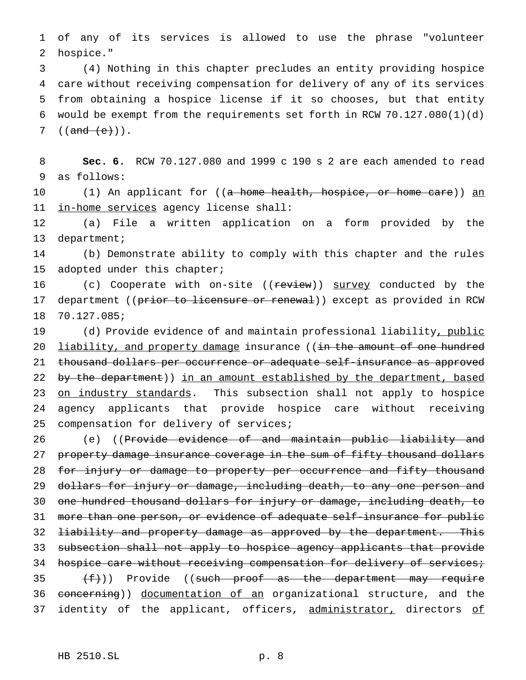1 of any of its services is allowed to use the phrase "volunteer 2 hospice."

 (4) Nothing in this chapter precludes an entity providing hospice care without receiving compensation for delivery of any of its services from obtaining a hospice license if it so chooses, but that entity would be exempt from the requirements set forth in RCW 70.127.080(1)(d)  $((and (e))$ .

8 **Sec. 6.** RCW 70.127.080 and 1999 c 190 s 2 are each amended to read 9 as follows:

10 (1) An applicant for ((<del>a home health, hospice, or home care</del>)) an 11 in-home services agency license shall:

12 (a) File a written application on a form provided by the 13 department;

14 (b) Demonstrate ability to comply with this chapter and the rules 15 adopted under this chapter;

16 (c) Cooperate with on-site ((review)) survey conducted by the 17 department ((prior to licensure or renewal)) except as provided in RCW 18 70.127.085;

19 (d) Provide evidence of and maintain professional liability, public 20 <u>liability, and property damage</u> insurance ((in the amount of one hundred 21 thousand dollars per occurrence or adequate self-insurance as approved 22 by the department)) in an amount established by the department, based 23 on industry standards. This subsection shall not apply to hospice 24 agency applicants that provide hospice care without receiving 25 compensation for delivery of services;

26 (e) ((Provide evidence of and maintain public liability and 27 property damage insurance coverage in the sum of fifty thousand dollars 28 for injury or damage to property per occurrence and fifty thousand 29 dollars for injury or damage, including death, to any one person and 30 one hundred thousand dollars for injury or damage, including death, to 31 more than one person, or evidence of adequate self-insurance for public 32 <del>liability and property damage as approved by the department. This</del> 33 subsection shall not apply to hospice agency applicants that provide 34 hospice care without receiving compensation for delivery of services; 35  $(f)$ ) Provide ((such proof as the department may require 36 concerning)) documentation of an organizational structure, and the 37 identity of the applicant, officers, administrator, directors of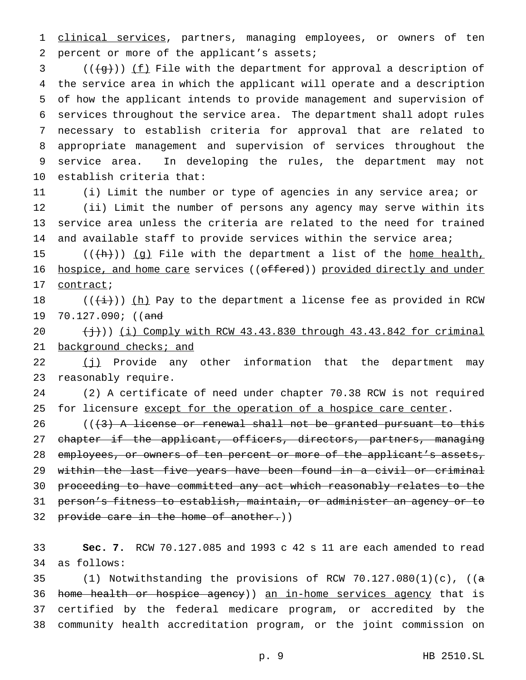1 clinical services, partners, managing employees, or owners of ten percent or more of the applicant's assets;

 (( $\left(\frac{1}{3}\right)$ ) (f) File with the department for approval a description of the service area in which the applicant will operate and a description of how the applicant intends to provide management and supervision of services throughout the service area. The department shall adopt rules necessary to establish criteria for approval that are related to appropriate management and supervision of services throughout the service area. In developing the rules, the department may not establish criteria that:

 (i) Limit the number or type of agencies in any service area; or (ii) Limit the number of persons any agency may serve within its service area unless the criteria are related to the need for trained 14 and available staff to provide services within the service area;

15  $((+h))$  (g) File with the department a list of the home health, 16 hospice, and home care services ((offered)) provided directly and under contract;

18 (( $(\frac{1}{1})$ ) (h) Pay to the department a license fee as provided in RCW 19 70.127.090; ((and

 $(\frac{1}{2})$ ) (i) Comply with RCW 43.43.830 through 43.43.842 for criminal 21 background checks; and

 (j) Provide any other information that the department may reasonably require.

 (2) A certificate of need under chapter 70.38 RCW is not required 25 for licensure except for the operation of a hospice care center.

 ( $(\frac{1}{3})$  A license or renewal shall not be granted pursuant to this 27 chapter if the applicant, officers, directors, partners, managing 28 employees, or owners of ten percent or more of the applicant's assets, 29 within the last five years have been found in a civil or criminal proceeding to have committed any act which reasonably relates to the person's fitness to establish, maintain, or administer an agency or to 32 provide care in the home of another.))

 **Sec. 7.** RCW 70.127.085 and 1993 c 42 s 11 are each amended to read as follows:

35 (1) Notwithstanding the provisions of RCW  $70.127.080(1)(c)$ , ((a 36 home health or hospice agency)) an in-home services agency that is certified by the federal medicare program, or accredited by the community health accreditation program, or the joint commission on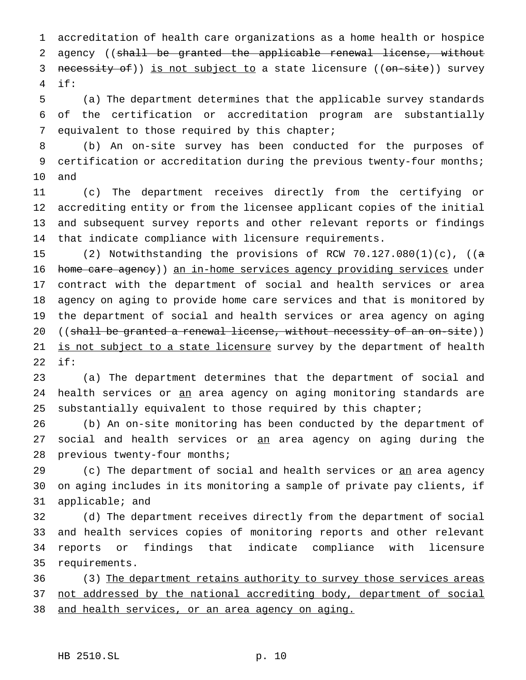accreditation of health care organizations as a home health or hospice 2 agency ((shall be granted the applicable renewal license, without 3 necessity of)) is not subject to a state licensure ((on-site)) survey if:

 (a) The department determines that the applicable survey standards of the certification or accreditation program are substantially equivalent to those required by this chapter;

 (b) An on-site survey has been conducted for the purposes of 9 certification or accreditation during the previous twenty-four months; and

 (c) The department receives directly from the certifying or accrediting entity or from the licensee applicant copies of the initial and subsequent survey reports and other relevant reports or findings that indicate compliance with licensure requirements.

 (2) Notwithstanding the provisions of RCW 70.127.080(1)(c), ((a home care agency)) an in-home services agency providing services under contract with the department of social and health services or area agency on aging to provide home care services and that is monitored by the department of social and health services or area agency on aging 20 ((shall be granted a renewal license, without necessity of an on-site)) 21 is not subject to a state licensure survey by the department of health if:

 (a) The department determines that the department of social and 24 health services or an area agency on aging monitoring standards are 25 substantially equivalent to those required by this chapter;

 (b) An on-site monitoring has been conducted by the department of 27 social and health services or an area agency on aging during the 28 previous twenty-four months;

29 (c) The department of social and health services or <u>an</u> area agency on aging includes in its monitoring a sample of private pay clients, if applicable; and

 (d) The department receives directly from the department of social and health services copies of monitoring reports and other relevant reports or findings that indicate compliance with licensure requirements.

36 (3) The department retains authority to survey those services areas 37 not addressed by the national accrediting body, department of social and health services, or an area agency on aging.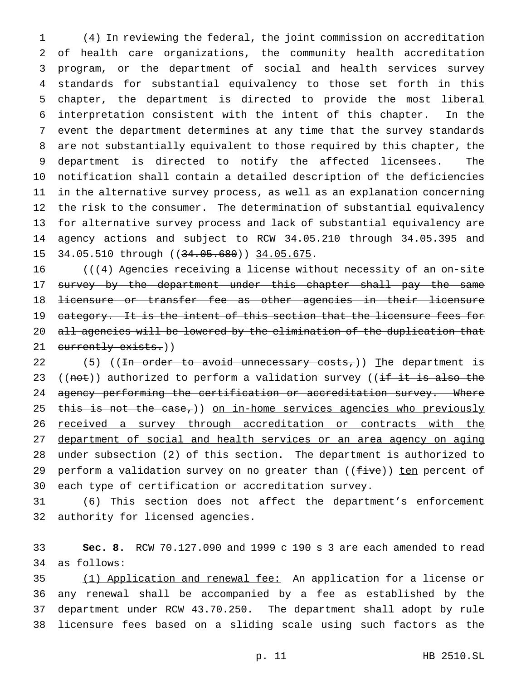(4) In reviewing the federal, the joint commission on accreditation of health care organizations, the community health accreditation program, or the department of social and health services survey standards for substantial equivalency to those set forth in this chapter, the department is directed to provide the most liberal interpretation consistent with the intent of this chapter. In the event the department determines at any time that the survey standards are not substantially equivalent to those required by this chapter, the department is directed to notify the affected licensees. The notification shall contain a detailed description of the deficiencies in the alternative survey process, as well as an explanation concerning the risk to the consumer. The determination of substantial equivalency for alternative survey process and lack of substantial equivalency are agency actions and subject to RCW 34.05.210 through 34.05.395 and 15 34.05.510 through ((34.05.680)) 34.05.675.

16 (((4) Agencies receiving a license without necessity of an on-site 17 survey by the department under this chapter shall pay the same 18 <del>licensure or transfer fee as other agencies in their licensure</del> 19 category. It is the intent of this section that the licensure fees for 20 all agencies will be lowered by the elimination of the duplication that 21 currently exists.))

22 (5) ((<del>In order to avoid unnecessary costs,</del>)) The department is 23 ((not)) authorized to perform a validation survey (( $\frac{1}{1}$  it is also the 24 agency performing the certification or accreditation survey. Where 25 this is not the case,)) on in-home services agencies who previously 26 received a survey through accreditation or contracts with the department of social and health services or an area agency on aging under subsection (2) of this section. The department is authorized to 29 perform a validation survey on no greater than ((five)) ten percent of each type of certification or accreditation survey.

 (6) This section does not affect the department's enforcement authority for licensed agencies.

 **Sec. 8.** RCW 70.127.090 and 1999 c 190 s 3 are each amended to read as follows:

 (1) Application and renewal fee: An application for a license or any renewal shall be accompanied by a fee as established by the department under RCW 43.70.250. The department shall adopt by rule licensure fees based on a sliding scale using such factors as the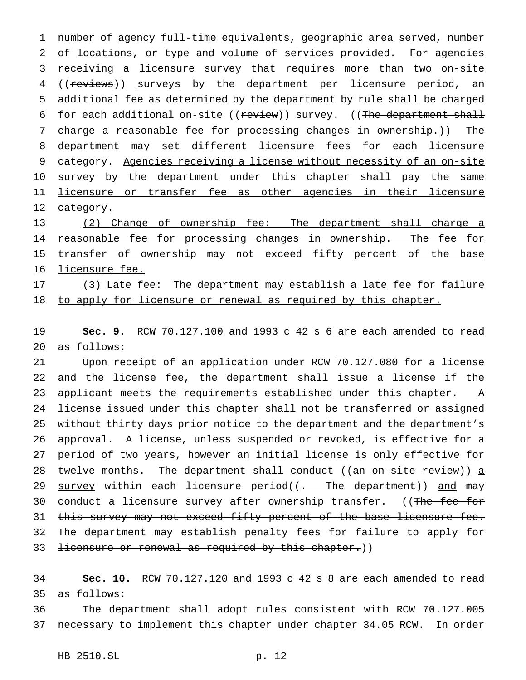number of agency full-time equivalents, geographic area served, number of locations, or type and volume of services provided. For agencies receiving a licensure survey that requires more than two on-site 4 ((reviews)) surveys by the department per licensure period, an additional fee as determined by the department by rule shall be charged 6 for each additional on-site ((review)) survey. ((The department shall charge a reasonable fee for processing changes in ownership.)) The department may set different licensure fees for each licensure 9 category. Agencies receiving a license without necessity of an on-site 10 survey by the department under this chapter shall pay the same licensure or transfer fee as other agencies in their licensure 12 category.

 (2) Change of ownership fee: The department shall charge a 14 reasonable fee for processing changes in ownership. The fee for 15 transfer of ownership may not exceed fifty percent of the base licensure fee. 17 (3) Late fee: The department may establish a late fee for failure

18 to apply for licensure or renewal as required by this chapter.

 **Sec. 9.** RCW 70.127.100 and 1993 c 42 s 6 are each amended to read as follows:

 Upon receipt of an application under RCW 70.127.080 for a license and the license fee, the department shall issue a license if the applicant meets the requirements established under this chapter. A license issued under this chapter shall not be transferred or assigned without thirty days prior notice to the department and the department's approval. A license, unless suspended or revoked, is effective for a period of two years, however an initial license is only effective for 28 twelve months. The department shall conduct ((an on-site review)) a 29 survey within each licensure period((- The department)) and may 30 conduct a licensure survey after ownership transfer. ((The fee for 31 this survey may not exceed fifty percent of the base licensure fee. The department may establish penalty fees for failure to apply for 33 <del>licensure or renewal as required by this chapter.</del>))

 **Sec. 10.** RCW 70.127.120 and 1993 c 42 s 8 are each amended to read as follows:

 The department shall adopt rules consistent with RCW 70.127.005 necessary to implement this chapter under chapter 34.05 RCW. In order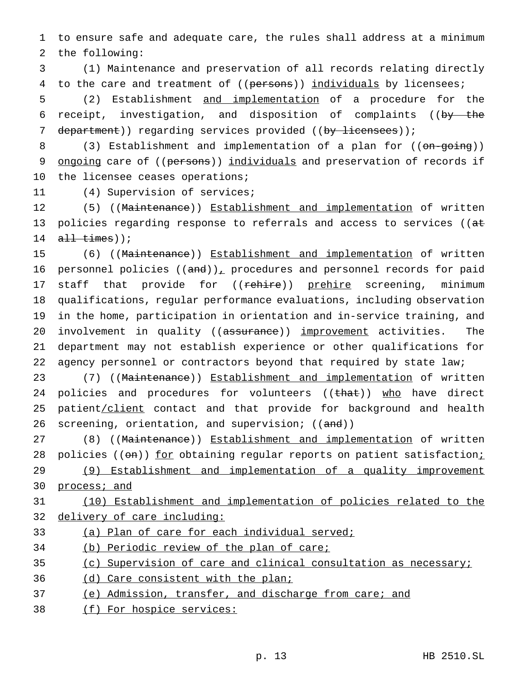1 to ensure safe and adequate care, the rules shall address at a minimum 2 the following:

3 (1) Maintenance and preservation of all records relating directly 4 to the care and treatment of ((persons)) individuals by licensees;

5 (2) Establishment and implementation of a procedure for the 6 receipt, investigation, and disposition of complaints ((by the 7 department)) regarding services provided ((by licensees));

8 (3) Establishment and implementation of a plan for ((on-going)) 9 ongoing care of ((persons)) individuals and preservation of records if 10 the licensee ceases operations;

11 (4) Supervision of services;

12 (5) ((Maintenance)) Establishment and implementation of written 13 policies regarding response to referrals and access to services ( $(\overline{at}$ 14  $all$  times));

 (6) ((Maintenance)) Establishment and implementation of written 16 personnel policies  $((and))_+$  procedures and personnel records for paid 17 staff that provide for ((rehire)) prehire screening, minimum qualifications, regular performance evaluations, including observation in the home, participation in orientation and in-service training, and 20 involvement in quality ((assurance)) improvement activities. The department may not establish experience or other qualifications for agency personnel or contractors beyond that required by state law;

23 (7) ((Maintenance)) Establishment and implementation of written 24 policies and procedures for volunteers ((that)) who have direct 25 patient/client contact and that provide for background and health 26 screening, orientation, and supervision; ((and))

27 (8) ((Maintenance)) Establishment and implementation of written 28 policies ((on)) for obtaining regular reports on patient satisfaction; 29 (9) Establishment and implementation of a quality improvement 30 process; and

31 (10) Establishment and implementation of policies related to the 32 delivery of care including:

33 (a) Plan of care for each individual served;

34 (b) Periodic review of the plan of care;

35 (c) Supervision of care and clinical consultation as necessary;

- 36 (d) Care consistent with the plan;
- 37 (e) Admission, transfer, and discharge from care; and
- 38 (f) For hospice services: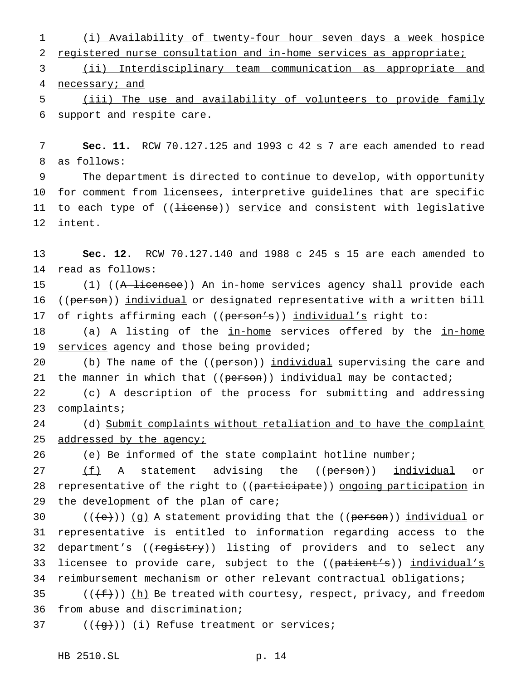1 (i) Availability of twenty-four hour seven days a week hospice 2 registered nurse consultation and in-home services as appropriate;

3 (ii) Interdisciplinary team communication as appropriate and 4 necessary; and

5 (iii) The use and availability of volunteers to provide family 6 support and respite care.

7 **Sec. 11.** RCW 70.127.125 and 1993 c 42 s 7 are each amended to read 8 as follows:

9 The department is directed to continue to develop, with opportunity 10 for comment from licensees, interpretive guidelines that are specific 11 to each type of ((license)) service and consistent with legislative 12 intent.

13 **Sec. 12.** RCW 70.127.140 and 1988 c 245 s 15 are each amended to 14 read as follows:

15 (1) ((A licensee)) An in-home services agency shall provide each 16 ((person)) individual or designated representative with a written bill 17 of rights affirming each ((person's)) individual's right to:

18 (a) A listing of the in-home services offered by the in-home 19 services agency and those being provided;

20 (b) The name of the ((person)) individual supervising the care and 21 the manner in which that ((person)) individual may be contacted;

22 (c) A description of the process for submitting and addressing 23 complaints;

24 (d) Submit complaints without retaliation and to have the complaint 25 addressed by the agency;

26 (e) Be informed of the state complaint hotline number;

27 (f) A statement advising the ((person)) individual or 28 representative of the right to ((participate)) ongoing participation in 29 the development of the plan of care;

30  $((\{e\}) \cap (g)$  A statement providing that the  $((\text{person}) \cap (g)$  individual or 31 representative is entitled to information regarding access to the 32 department's ((registry)) listing of providers and to select any 33 licensee to provide care, subject to the ((patient's)) individual's 34 reimbursement mechanism or other relevant contractual obligations;

35 ( $(\text{f}^{\text{f}}(\text{f}^{\text{f}}))$  (h) Be treated with courtesy, respect, privacy, and freedom 36 from abuse and discrimination;

37  $((\{q\}))(\iint$  Refuse treatment or services;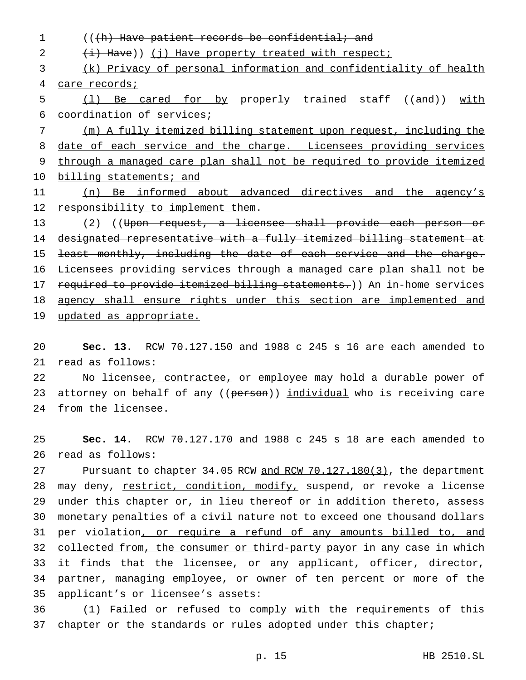1 (((h) Have patient records be confidential; and  $2 \left( i \right)$  Have)) (j) Have property treated with respect; 3 (k) Privacy of personal information and confidentiality of health 4 care records; 5 (1) Be cared for by properly trained staff ((and)) with 6 coordination of services<sub>i</sub> 7 (m) A fully itemized billing statement upon request, including the 8 date of each service and the charge. Licensees providing services 9 through a managed care plan shall not be required to provide itemized 10 billing statements; and 11 (n) Be informed about advanced directives and the agency's 12 responsibility to implement them. 13 (2) ((Upon request, a licensee shall provide each person or 14 designated representative with a fully itemized billing statement at 15 least monthly, including the date of each service and the charge. 16 Licensees providing services through a managed care plan shall not be 17 required to provide itemized billing statements.)) An in-home services 18 agency shall ensure rights under this section are implemented and 19 updated as appropriate.

20 **Sec. 13.** RCW 70.127.150 and 1988 c 245 s 16 are each amended to 21 read as follows:

22 No licensee, contractee, or employee may hold a durable power of 23 attorney on behalf of any ((person)) individual who is receiving care 24 from the licensee.

25 **Sec. 14.** RCW 70.127.170 and 1988 c 245 s 18 are each amended to 26 read as follows:

27 Pursuant to chapter 34.05 RCW and RCW 70.127.180(3), the department 28 may deny, restrict, condition, modify, suspend, or revoke a license 29 under this chapter or, in lieu thereof or in addition thereto, assess 30 monetary penalties of a civil nature not to exceed one thousand dollars 31 per violation, or require a refund of any amounts billed to, and 32 collected from, the consumer or third-party payor in any case in which 33 it finds that the licensee, or any applicant, officer, director, 34 partner, managing employee, or owner of ten percent or more of the 35 applicant's or licensee's assets:

36 (1) Failed or refused to comply with the requirements of this 37 chapter or the standards or rules adopted under this chapter;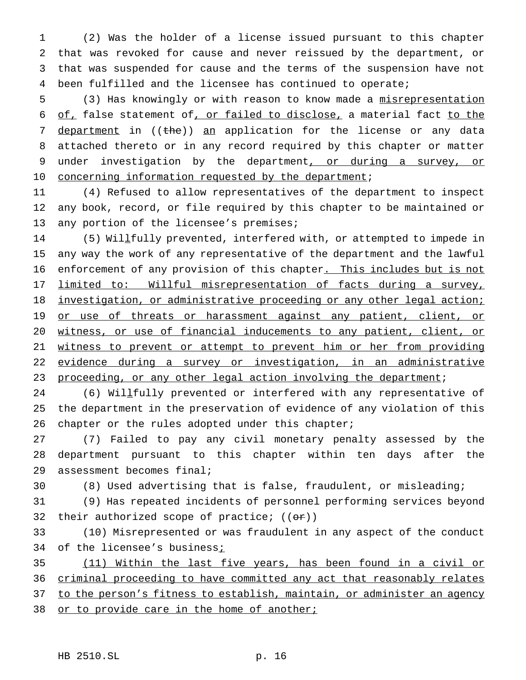(2) Was the holder of a license issued pursuant to this chapter that was revoked for cause and never reissued by the department, or that was suspended for cause and the terms of the suspension have not been fulfilled and the licensee has continued to operate;

5 (3) Has knowingly or with reason to know made a misrepresentation 6 of, false statement of, or failed to disclose, a material fact to the 7 department in ((the)) an application for the license or any data 8 attached thereto or in any record required by this chapter or matter 9 under investigation by the department, or during a survey, or 10 concerning information requested by the department;

11 (4) Refused to allow representatives of the department to inspect 12 any book, record, or file required by this chapter to be maintained or 13 any portion of the licensee's premises;

14 (5) Willfully prevented, interfered with, or attempted to impede in 15 any way the work of any representative of the department and the lawful 16 enforcement of any provision of this chapter. This includes but is not 17 limited to: Willful misrepresentation of facts during a survey, 18 investigation, or administrative proceeding or any other legal action; 19 or use of threats or harassment against any patient, client, or 20 witness, or use of financial inducements to any patient, client, or 21 witness to prevent or attempt to prevent him or her from providing 22 evidence during a survey or investigation, in an administrative 23 proceeding, or any other legal action involving the department;

24 (6) Willfully prevented or interfered with any representative of 25 the department in the preservation of evidence of any violation of this 26 chapter or the rules adopted under this chapter;

27 (7) Failed to pay any civil monetary penalty assessed by the 28 department pursuant to this chapter within ten days after the 29 assessment becomes final;

30 (8) Used advertising that is false, fraudulent, or misleading;

31 (9) Has repeated incidents of personnel performing services beyond 32 their authorized scope of practice;  $((\theta \cdot \mathbf{r}))$ 

33 (10) Misrepresented or was fraudulent in any aspect of the conduct 34 of the licensee's business;

35 (11) Within the last five years, has been found in a civil or 36 criminal proceeding to have committed any act that reasonably relates 37 to the person's fitness to establish, maintain, or administer an agency

38 or to provide care in the home of another;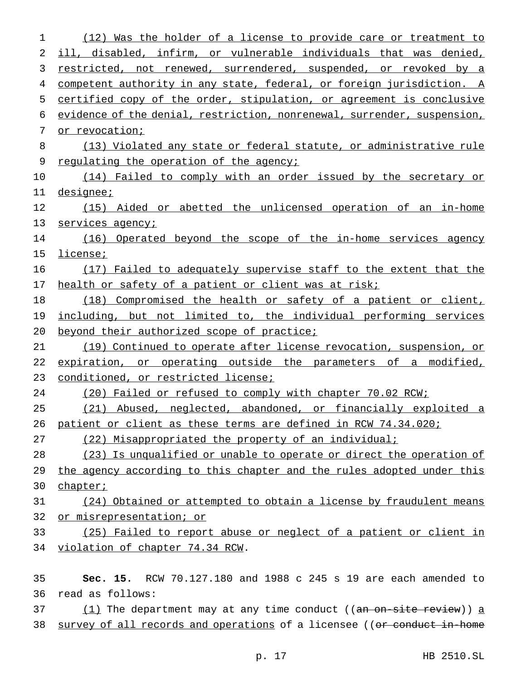(12) Was the holder of a license to provide care or treatment to ill, disabled, infirm, or vulnerable individuals that was denied, restricted, not renewed, surrendered, suspended, or revoked by a 4 competent authority in any state, federal, or foreign jurisdiction. A certified copy of the order, stipulation, or agreement is conclusive evidence of the denial, restriction, nonrenewal, surrender, suspension, or revocation; (13) Violated any state or federal statute, or administrative rule 9 regulating the operation of the agency; 10 (14) Failed to comply with an order issued by the secretary or designee; 12 (15) Aided or abetted the unlicensed operation of an in-home 13 services agency; 14 (16) Operated beyond the scope of the in-home services agency 15 license; (17) Failed to adequately supervise staff to the extent that the 17 health or safety of a patient or client was at risk; 18 (18) Compromised the health or safety of a patient or client, including, but not limited to, the individual performing services 20 beyond their authorized scope of practice; (19) Continued to operate after license revocation, suspension, or expiration, or operating outside the parameters of a modified, conditioned, or restricted license; (20) Failed or refused to comply with chapter 70.02 RCW; (21) Abused, neglected, abandoned, or financially exploited a patient or client as these terms are defined in RCW 74.34.020; (22) Misappropriated the property of an individual; (23) Is unqualified or unable to operate or direct the operation of the agency according to this chapter and the rules adopted under this 30 chapter; (24) Obtained or attempted to obtain a license by fraudulent means or misrepresentation; or (25) Failed to report abuse or neglect of a patient or client in violation of chapter 74.34 RCW. **Sec. 15.** RCW 70.127.180 and 1988 c 245 s 19 are each amended to read as follows:  $(1)$  The department may at any time conduct ((an on-site review)) a 38 survey of all records and operations of a licensee ((or conduct in-home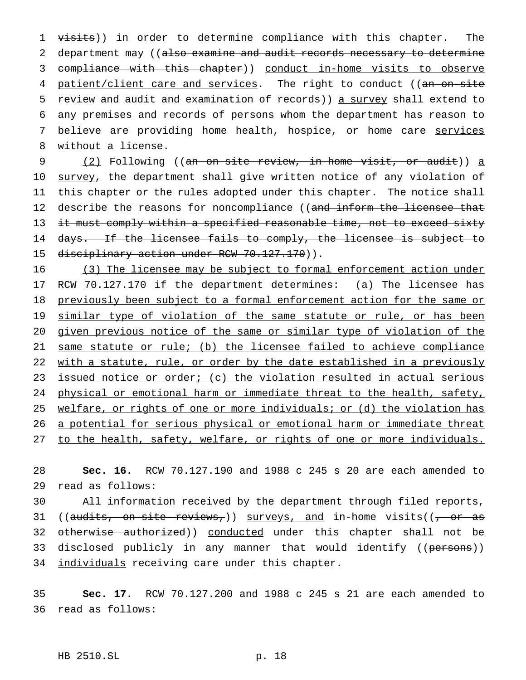1 visits)) in order to determine compliance with this chapter. The 2 department may ((also examine and audit records necessary to determine 3 compliance with this chapter)) conduct in-home visits to observe 4 patient/client care and services. The right to conduct ((an on-site 5 review and audit and examination of records)) a survey shall extend to 6 any premises and records of persons whom the department has reason to 7 believe are providing home health, hospice, or home care services 8 without a license.

9 (2) Following ((an on-site review, in-home visit, or audit)) a 10 survey, the department shall give written notice of any violation of 11 this chapter or the rules adopted under this chapter. The notice shall 12 describe the reasons for noncompliance ((and inform the licensee that 13 it must comply within a specified reasonable time, not to exceed sixty 14 days. If the licensee fails to comply, the licensee is subject to 15 disciplinary action under RCW 70.127.170)).

16 (3) The licensee may be subject to formal enforcement action under 17 RCW 70.127.170 if the department determines: (a) The licensee has 18 previously been subject to a formal enforcement action for the same or 19 similar type of violation of the same statute or rule, or has been 20 given previous notice of the same or similar type of violation of the 21 same statute or rule; (b) the licensee failed to achieve compliance 22 with a statute, rule, or order by the date established in a previously 23 issued notice or order; (c) the violation resulted in actual serious 24 physical or emotional harm or immediate threat to the health, safety, 25 welfare, or rights of one or more individuals; or (d) the violation has 26 a potential for serious physical or emotional harm or immediate threat 27 to the health, safety, welfare, or rights of one or more individuals.

28 **Sec. 16.** RCW 70.127.190 and 1988 c 245 s 20 are each amended to 29 read as follows:

30 All information received by the department through filed reports, 31 ((audits, on-site reviews,)) surveys, and in-home visits(( $\frac{1}{2}$  or as 32 otherwise authorized)) conducted under this chapter shall not be 33 disclosed publicly in any manner that would identify ((persons)) 34 individuals receiving care under this chapter.

35 **Sec. 17.** RCW 70.127.200 and 1988 c 245 s 21 are each amended to 36 read as follows:

## HB 2510.SL p. 18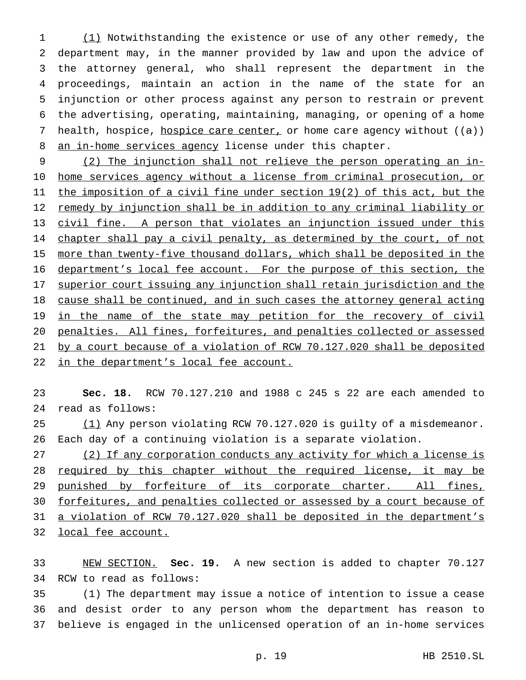1 (1) Notwithstanding the existence or use of any other remedy, the department may, in the manner provided by law and upon the advice of the attorney general, who shall represent the department in the proceedings, maintain an action in the name of the state for an injunction or other process against any person to restrain or prevent the advertising, operating, maintaining, managing, or opening of a home 7 health, hospice, hospice care center, or home care agency without  $((a))$ 8 an in-home services agency license under this chapter.

 (2) The injunction shall not relieve the person operating an in- home services agency without a license from criminal prosecution, or 11 the imposition of a civil fine under section 19(2) of this act, but the remedy by injunction shall be in addition to any criminal liability or civil fine. A person that violates an injunction issued under this 14 chapter shall pay a civil penalty, as determined by the court, of not more than twenty-five thousand dollars, which shall be deposited in the 16 department's local fee account. For the purpose of this section, the superior court issuing any injunction shall retain jurisdiction and the cause shall be continued, and in such cases the attorney general acting 19 in the name of the state may petition for the recovery of civil penalties. All fines, forfeitures, and penalties collected or assessed by a court because of a violation of RCW 70.127.020 shall be deposited 22 in the department's local fee account.

 **Sec. 18.** RCW 70.127.210 and 1988 c 245 s 22 are each amended to read as follows:

25 (1) Any person violating RCW 70.127.020 is guilty of a misdemeanor. Each day of a continuing violation is a separate violation.

 (2) If any corporation conducts any activity for which a license is 28 required by this chapter without the required license, it may be 29 punished by forfeiture of its corporate charter. All fines, forfeitures, and penalties collected or assessed by a court because of 31 a violation of RCW 70.127.020 shall be deposited in the department's local fee account.

 NEW SECTION. **Sec. 19.** A new section is added to chapter 70.127 RCW to read as follows:

 (1) The department may issue a notice of intention to issue a cease and desist order to any person whom the department has reason to believe is engaged in the unlicensed operation of an in-home services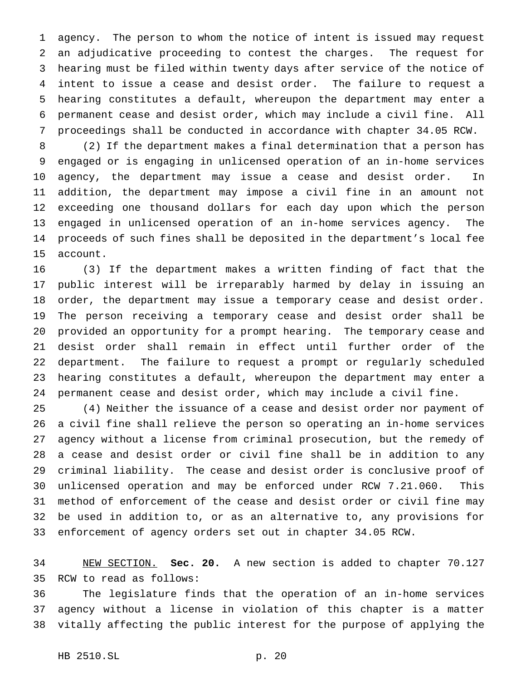agency. The person to whom the notice of intent is issued may request an adjudicative proceeding to contest the charges. The request for hearing must be filed within twenty days after service of the notice of intent to issue a cease and desist order. The failure to request a hearing constitutes a default, whereupon the department may enter a permanent cease and desist order, which may include a civil fine. All proceedings shall be conducted in accordance with chapter 34.05 RCW.

 (2) If the department makes a final determination that a person has engaged or is engaging in unlicensed operation of an in-home services agency, the department may issue a cease and desist order. In addition, the department may impose a civil fine in an amount not exceeding one thousand dollars for each day upon which the person engaged in unlicensed operation of an in-home services agency. The proceeds of such fines shall be deposited in the department's local fee account.

 (3) If the department makes a written finding of fact that the public interest will be irreparably harmed by delay in issuing an order, the department may issue a temporary cease and desist order. The person receiving a temporary cease and desist order shall be provided an opportunity for a prompt hearing. The temporary cease and desist order shall remain in effect until further order of the department. The failure to request a prompt or regularly scheduled hearing constitutes a default, whereupon the department may enter a permanent cease and desist order, which may include a civil fine.

 (4) Neither the issuance of a cease and desist order nor payment of a civil fine shall relieve the person so operating an in-home services agency without a license from criminal prosecution, but the remedy of a cease and desist order or civil fine shall be in addition to any criminal liability. The cease and desist order is conclusive proof of unlicensed operation and may be enforced under RCW 7.21.060. This method of enforcement of the cease and desist order or civil fine may be used in addition to, or as an alternative to, any provisions for enforcement of agency orders set out in chapter 34.05 RCW.

 NEW SECTION. **Sec. 20.** A new section is added to chapter 70.127 RCW to read as follows:

 The legislature finds that the operation of an in-home services agency without a license in violation of this chapter is a matter vitally affecting the public interest for the purpose of applying the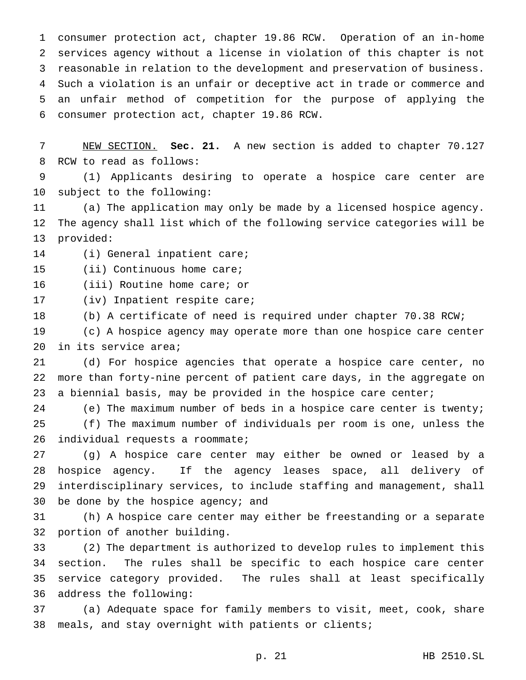consumer protection act, chapter 19.86 RCW. Operation of an in-home services agency without a license in violation of this chapter is not reasonable in relation to the development and preservation of business. Such a violation is an unfair or deceptive act in trade or commerce and an unfair method of competition for the purpose of applying the consumer protection act, chapter 19.86 RCW.

 NEW SECTION. **Sec. 21.** A new section is added to chapter 70.127 RCW to read as follows:

 (1) Applicants desiring to operate a hospice care center are subject to the following:

 (a) The application may only be made by a licensed hospice agency. The agency shall list which of the following service categories will be provided:

(i) General inpatient care;

(ii) Continuous home care;

(iii) Routine home care; or

(iv) Inpatient respite care;

(b) A certificate of need is required under chapter 70.38 RCW;

 (c) A hospice agency may operate more than one hospice care center in its service area;

 (d) For hospice agencies that operate a hospice care center, no more than forty-nine percent of patient care days, in the aggregate on 23 a biennial basis, may be provided in the hospice care center;

24 (e) The maximum number of beds in a hospice care center is twenty;

 (f) The maximum number of individuals per room is one, unless the 26 individual requests a roommate;

 (g) A hospice care center may either be owned or leased by a hospice agency. If the agency leases space, all delivery of interdisciplinary services, to include staffing and management, shall be done by the hospice agency; and

 (h) A hospice care center may either be freestanding or a separate portion of another building.

 (2) The department is authorized to develop rules to implement this section. The rules shall be specific to each hospice care center service category provided. The rules shall at least specifically address the following:

 (a) Adequate space for family members to visit, meet, cook, share meals, and stay overnight with patients or clients;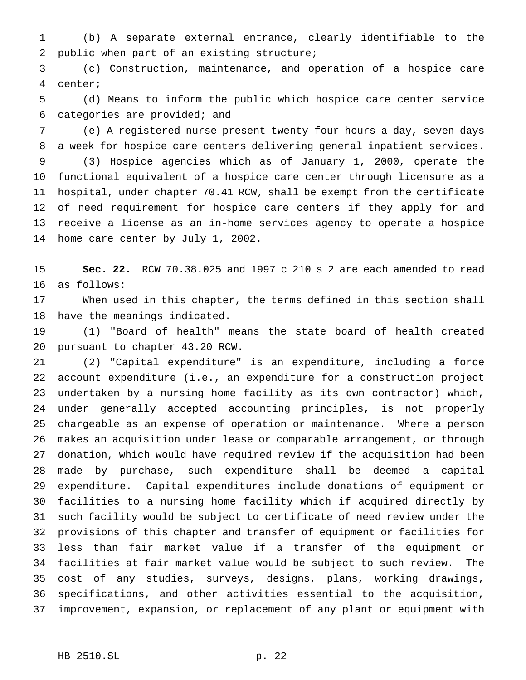(b) A separate external entrance, clearly identifiable to the public when part of an existing structure;

 (c) Construction, maintenance, and operation of a hospice care center;

 (d) Means to inform the public which hospice care center service categories are provided; and

 (e) A registered nurse present twenty-four hours a day, seven days a week for hospice care centers delivering general inpatient services.

 (3) Hospice agencies which as of January 1, 2000, operate the functional equivalent of a hospice care center through licensure as a hospital, under chapter 70.41 RCW, shall be exempt from the certificate of need requirement for hospice care centers if they apply for and receive a license as an in-home services agency to operate a hospice home care center by July 1, 2002.

 **Sec. 22.** RCW 70.38.025 and 1997 c 210 s 2 are each amended to read as follows:

 When used in this chapter, the terms defined in this section shall have the meanings indicated.

 (1) "Board of health" means the state board of health created pursuant to chapter 43.20 RCW.

 (2) "Capital expenditure" is an expenditure, including a force account expenditure (i.e., an expenditure for a construction project undertaken by a nursing home facility as its own contractor) which, under generally accepted accounting principles, is not properly chargeable as an expense of operation or maintenance. Where a person makes an acquisition under lease or comparable arrangement, or through donation, which would have required review if the acquisition had been made by purchase, such expenditure shall be deemed a capital expenditure. Capital expenditures include donations of equipment or facilities to a nursing home facility which if acquired directly by such facility would be subject to certificate of need review under the provisions of this chapter and transfer of equipment or facilities for less than fair market value if a transfer of the equipment or facilities at fair market value would be subject to such review. The cost of any studies, surveys, designs, plans, working drawings, specifications, and other activities essential to the acquisition, improvement, expansion, or replacement of any plant or equipment with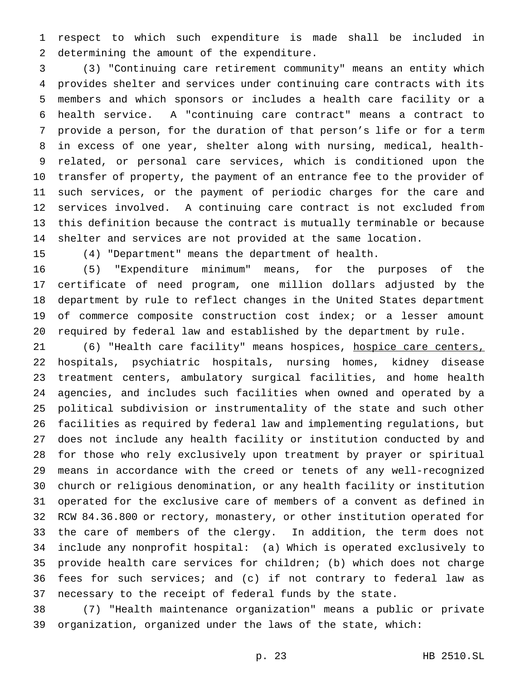respect to which such expenditure is made shall be included in determining the amount of the expenditure.

 (3) "Continuing care retirement community" means an entity which provides shelter and services under continuing care contracts with its members and which sponsors or includes a health care facility or a health service. A "continuing care contract" means a contract to provide a person, for the duration of that person's life or for a term in excess of one year, shelter along with nursing, medical, health- related, or personal care services, which is conditioned upon the transfer of property, the payment of an entrance fee to the provider of such services, or the payment of periodic charges for the care and services involved. A continuing care contract is not excluded from this definition because the contract is mutually terminable or because shelter and services are not provided at the same location.

(4) "Department" means the department of health.

 (5) "Expenditure minimum" means, for the purposes of the certificate of need program, one million dollars adjusted by the department by rule to reflect changes in the United States department of commerce composite construction cost index; or a lesser amount required by federal law and established by the department by rule.

21 (6) "Health care facility" means hospices, hospice care centers, hospitals, psychiatric hospitals, nursing homes, kidney disease treatment centers, ambulatory surgical facilities, and home health agencies, and includes such facilities when owned and operated by a political subdivision or instrumentality of the state and such other facilities as required by federal law and implementing regulations, but does not include any health facility or institution conducted by and for those who rely exclusively upon treatment by prayer or spiritual means in accordance with the creed or tenets of any well-recognized church or religious denomination, or any health facility or institution operated for the exclusive care of members of a convent as defined in RCW 84.36.800 or rectory, monastery, or other institution operated for the care of members of the clergy. In addition, the term does not include any nonprofit hospital: (a) Which is operated exclusively to provide health care services for children; (b) which does not charge fees for such services; and (c) if not contrary to federal law as necessary to the receipt of federal funds by the state.

 (7) "Health maintenance organization" means a public or private organization, organized under the laws of the state, which: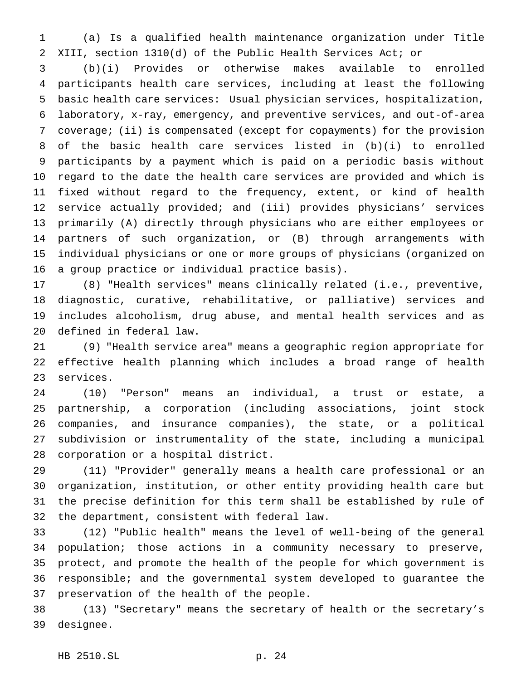(a) Is a qualified health maintenance organization under Title XIII, section 1310(d) of the Public Health Services Act; or

 (b)(i) Provides or otherwise makes available to enrolled participants health care services, including at least the following basic health care services: Usual physician services, hospitalization, laboratory, x-ray, emergency, and preventive services, and out-of-area coverage; (ii) is compensated (except for copayments) for the provision of the basic health care services listed in (b)(i) to enrolled participants by a payment which is paid on a periodic basis without regard to the date the health care services are provided and which is fixed without regard to the frequency, extent, or kind of health service actually provided; and (iii) provides physicians' services primarily (A) directly through physicians who are either employees or partners of such organization, or (B) through arrangements with individual physicians or one or more groups of physicians (organized on a group practice or individual practice basis).

 (8) "Health services" means clinically related (i.e., preventive, diagnostic, curative, rehabilitative, or palliative) services and includes alcoholism, drug abuse, and mental health services and as defined in federal law.

 (9) "Health service area" means a geographic region appropriate for effective health planning which includes a broad range of health services.

 (10) "Person" means an individual, a trust or estate, a partnership, a corporation (including associations, joint stock companies, and insurance companies), the state, or a political subdivision or instrumentality of the state, including a municipal corporation or a hospital district.

 (11) "Provider" generally means a health care professional or an organization, institution, or other entity providing health care but the precise definition for this term shall be established by rule of the department, consistent with federal law.

 (12) "Public health" means the level of well-being of the general population; those actions in a community necessary to preserve, protect, and promote the health of the people for which government is responsible; and the governmental system developed to guarantee the preservation of the health of the people.

 (13) "Secretary" means the secretary of health or the secretary's designee.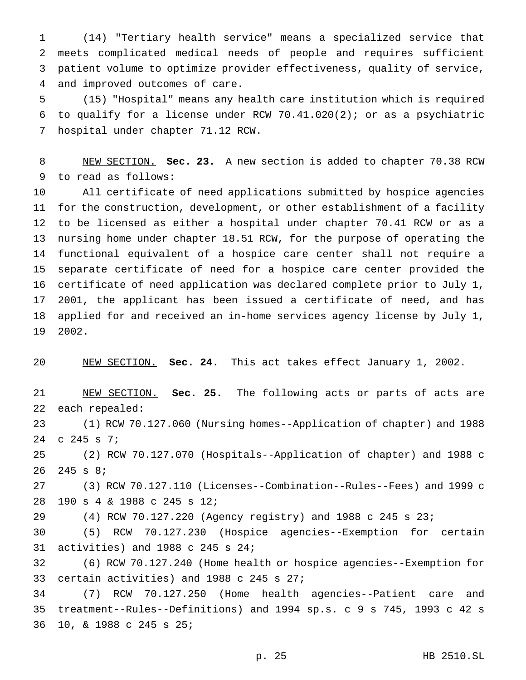(14) "Tertiary health service" means a specialized service that meets complicated medical needs of people and requires sufficient patient volume to optimize provider effectiveness, quality of service, and improved outcomes of care.

 (15) "Hospital" means any health care institution which is required to qualify for a license under RCW 70.41.020(2); or as a psychiatric hospital under chapter 71.12 RCW.

 NEW SECTION. **Sec. 23.** A new section is added to chapter 70.38 RCW to read as follows:

 All certificate of need applications submitted by hospice agencies for the construction, development, or other establishment of a facility to be licensed as either a hospital under chapter 70.41 RCW or as a nursing home under chapter 18.51 RCW, for the purpose of operating the functional equivalent of a hospice care center shall not require a separate certificate of need for a hospice care center provided the certificate of need application was declared complete prior to July 1, 2001, the applicant has been issued a certificate of need, and has applied for and received an in-home services agency license by July 1, 2002.

NEW SECTION. **Sec. 24.** This act takes effect January 1, 2002.

 NEW SECTION. **Sec. 25.** The following acts or parts of acts are each repealed:

 (1) RCW 70.127.060 (Nursing homes--Application of chapter) and 1988 c 245 s 7;

 (2) RCW 70.127.070 (Hospitals--Application of chapter) and 1988 c 245 s 8;

 (3) RCW 70.127.110 (Licenses--Combination--Rules--Fees) and 1999 c 190 s 4 & 1988 c 245 s 12;

(4) RCW 70.127.220 (Agency registry) and 1988 c 245 s 23;

 (5) RCW 70.127.230 (Hospice agencies--Exemption for certain activities) and 1988 c 245 s 24;

 (6) RCW 70.127.240 (Home health or hospice agencies--Exemption for certain activities) and 1988 c 245 s 27;

 (7) RCW 70.127.250 (Home health agencies--Patient care and treatment--Rules--Definitions) and 1994 sp.s. c 9 s 745, 1993 c 42 s 10, & 1988 c 245 s 25;